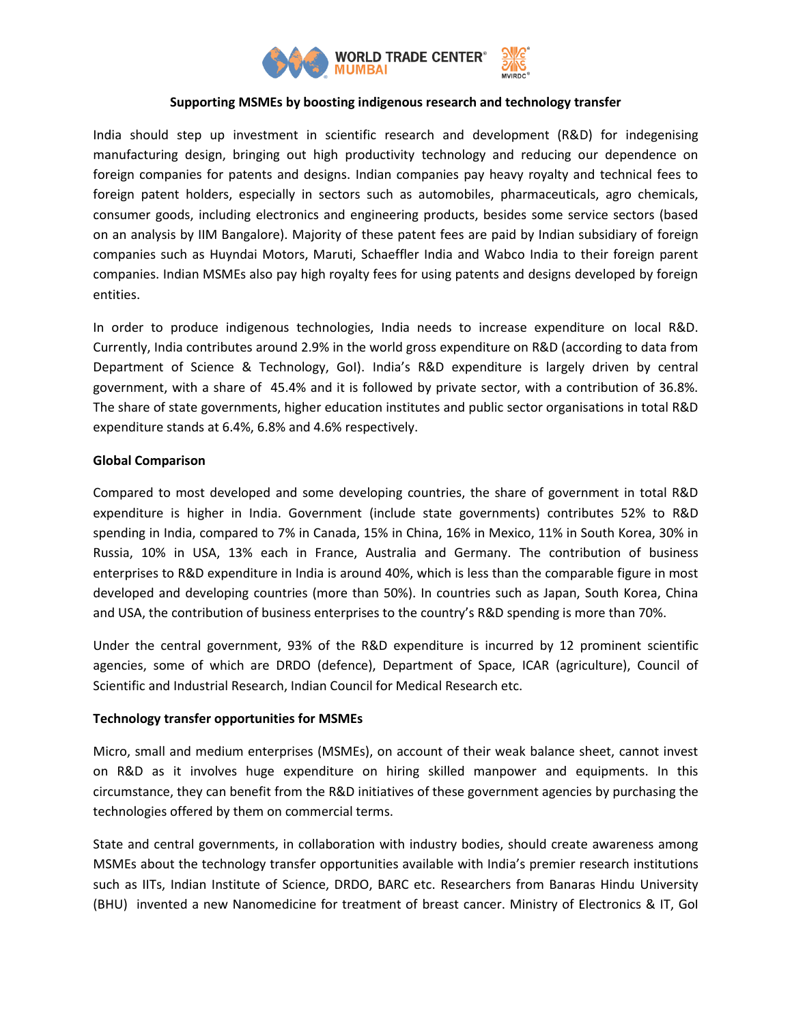

## **Supporting MSMEs by boosting indigenous research and technology transfer**

India should step up investment in scientific research and development (R&D) for indegenising manufacturing design, bringing out high productivity technology and reducing our dependence on foreign companies for patents and designs. Indian companies pay heavy royalty and technical fees to foreign patent holders, especially in sectors such as automobiles, pharmaceuticals, agro chemicals, consumer goods, including electronics and engineering products, besides some service sectors (based on an analysis by IIM Bangalore). Majority of these patent fees are paid by Indian subsidiary of foreign companies such as Huyndai Motors, Maruti, Schaeffler India and Wabco India to their foreign parent companies. Indian MSMEs also pay high royalty fees for using patents and designs developed by foreign entities.

In order to produce indigenous technologies, India needs to increase expenditure on local R&D. Currently, India contributes around 2.9% in the world gross expenditure on R&D (according to data from Department of Science & Technology, GoI). India's R&D expenditure is largely driven by central government, with a share of 45.4% and it is followed by private sector, with a contribution of 36.8%. The share of state governments, higher education institutes and public sector organisations in total R&D expenditure stands at 6.4%, 6.8% and 4.6% respectively.

## **Global Comparison**

Compared to most developed and some developing countries, the share of government in total R&D expenditure is higher in India. Government (include state governments) contributes 52% to R&D spending in India, compared to 7% in Canada, 15% in China, 16% in Mexico, 11% in South Korea, 30% in Russia, 10% in USA, 13% each in France, Australia and Germany. The contribution of business enterprises to R&D expenditure in India is around 40%, which is less than the comparable figure in most developed and developing countries (more than 50%). In countries such as Japan, South Korea, China and USA, the contribution of business enterprises to the country's R&D spending is more than 70%.

Under the central government, 93% of the R&D expenditure is incurred by 12 prominent scientific agencies, some of which are DRDO (defence), Department of Space, ICAR (agriculture), Council of Scientific and Industrial Research, Indian Council for Medical Research etc.

# **Technology transfer opportunities for MSMEs**

Micro, small and medium enterprises (MSMEs), on account of their weak balance sheet, cannot invest on R&D as it involves huge expenditure on hiring skilled manpower and equipments. In this circumstance, they can benefit from the R&D initiatives of these government agencies by purchasing the technologies offered by them on commercial terms.

State and central governments, in collaboration with industry bodies, should create awareness among MSMEs about the technology transfer opportunities available with India's premier research institutions such as IITs, Indian Institute of Science, DRDO, BARC etc. Researchers from Banaras Hindu University (BHU) invented a new Nanomedicine for treatment of breast cancer. Ministry of Electronics & IT, GoI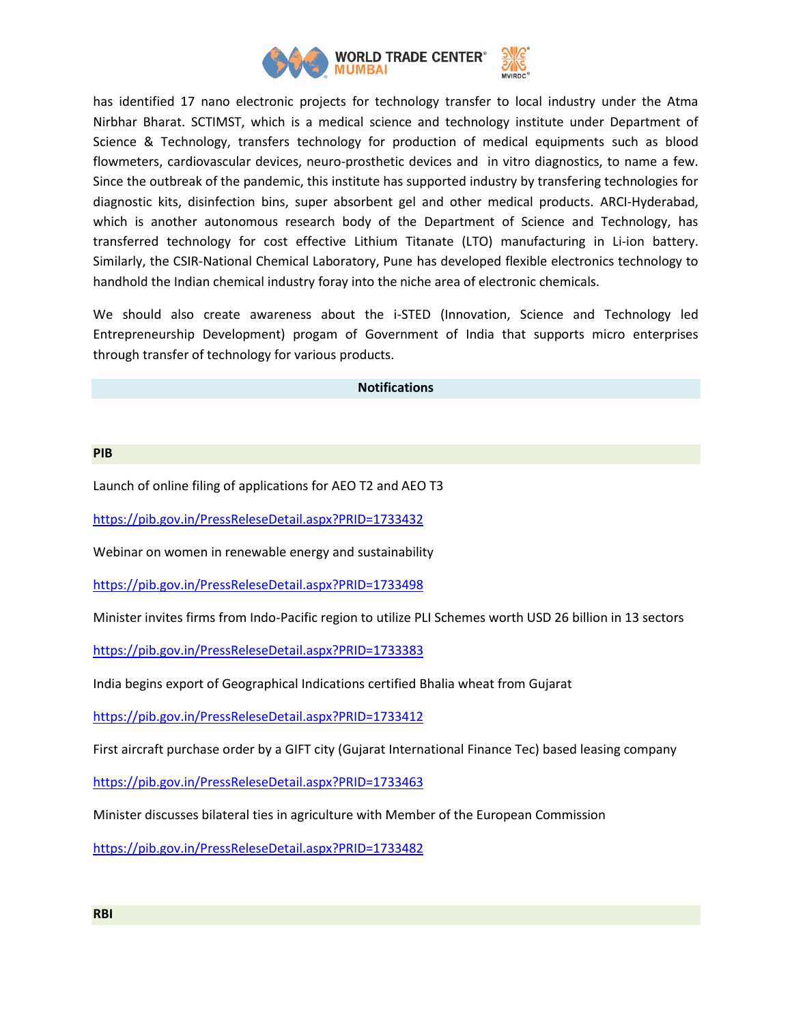

has identified 17 nano electronic projects for technology transfer to local industry under the Atma Nirbhar Bharat. SCTIMST, which is a medical science and technology institute under Department of Science & Technology, transfers technology for production of medical equipments such as blood flowmeters, cardiovascular devices, neuro-prosthetic devices and in vitro diagnostics, to name a few. Since the outbreak of the pandemic, this institute has supported industry by transfering technologies for diagnostic kits, disinfection bins, super absorbent gel and other medical products. ARCI-Hyderabad, which is another autonomous research body of the Department of Science and Technology, has transferred technology for cost effective Lithium Titanate (LTO) manufacturing in Li-ion battery. Similarly, the CSIR-National Chemical Laboratory, Pune has developed flexible electronics technology to handhold the Indian chemical industry foray into the niche area of electronic chemicals.

We should also create awareness about the i-STED (Innovation, Science and Technology led Entrepreneurship Development) progam of Government of India that supports micro enterprises through transfer of technology for various products.

### **Notifications**

#### **PIB**

Launch of online filing of applications for AEO T2 and AEO T3

<https://pib.gov.in/PressReleseDetail.aspx?PRID=1733432>

Webinar on women in renewable energy and sustainability

<https://pib.gov.in/PressReleseDetail.aspx?PRID=1733498>

Minister invites firms from Indo-Pacific region to utilize PLI Schemes worth USD 26 billion in 13 sectors

<https://pib.gov.in/PressReleseDetail.aspx?PRID=1733383>

India begins export of Geographical Indications certified Bhalia wheat from Gujarat

<https://pib.gov.in/PressReleseDetail.aspx?PRID=1733412>

First aircraft purchase order by a GIFT city (Gujarat International Finance Tec) based leasing company

<https://pib.gov.in/PressReleseDetail.aspx?PRID=1733463>

Minister discusses bilateral ties in agriculture with Member of the European Commission

<https://pib.gov.in/PressReleseDetail.aspx?PRID=1733482>